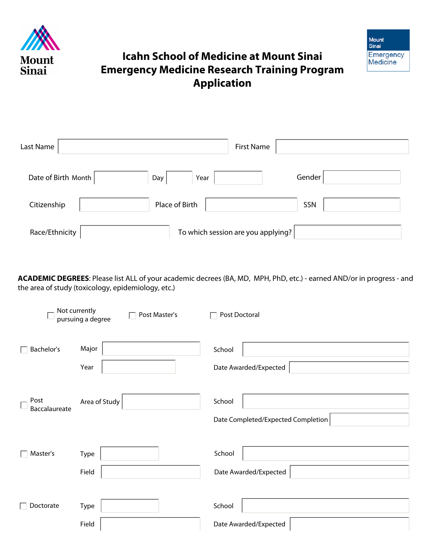



## **Icahn School of Medicine at Mount Sinai Emergency Medicine Research Training Program Application**

| Last Name           | <b>First Name</b>                  |        |
|---------------------|------------------------------------|--------|
| Date of Birth Month | Year<br>Day                        | Gender |
| Citizenship         | Place of Birth                     | SSN    |
| Race/Ethnicity      | To which session are you applying? |        |

**ACADEMIC DEGREES**: Please list ALL of your academic decrees (BA, MD, MPH, PhD, etc.) - earned AND/or in progress - and the area of study (toxicology, epidemiology, etc.)

|                       | Not currently<br>Post Master's<br>pursuing a degree | Post Doctoral                                |
|-----------------------|-----------------------------------------------------|----------------------------------------------|
| Bachelor's            | Major<br>Year                                       | School<br>Date Awarded/Expected              |
| Post<br>Baccalaureate | Area of Study                                       | School<br>Date Completed/Expected Completion |
| Master's              | <b>Type</b><br>Field                                | School<br>Date Awarded/Expected              |
| Doctorate             | Type<br>Field                                       | School<br>Date Awarded/Expected              |